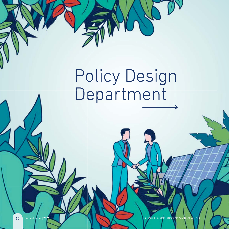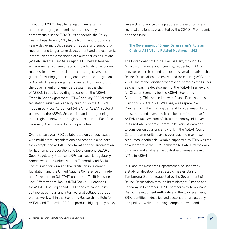Throughout 2021, despite navigating uncertainty and the emerging economic issues caused by the coronavirus disease (COVID-19) pandemic, the Policy Design Department (PDD) had a fruitful and productive year – delivering policy research, advice, and support for medium- and longer-term development and the economic integration of the Association of Southeast Asian Nations (ASEAN) and the East Asia region. PDD held extensive engagements with senior economic officials on economic matters, in line with the department's objectives and goals of ensuring greater regional economic integration of ASEAN. These engagements ranged from supporting the Government of Brunei Darussalam as the chair of ASEAN in 2021, providing research on the ASEAN Trade in Goods Agreement (ATIGA) and key ASEAN trade Tra facilitation initiatives, capacity building on the ASEAN fac Trade in Services Agreement (ATISA) for ASEAN sectoral Tra bodies and the ASEAN Secretariat, and strengthening the bo inter-regional network through support for the East Asia int Summit (EAS) process, to name just a few. Su

Over the past year, PDD collaborated on various issues Ov with multilateral organisations and other stakeholders – wit for example, the ASEAN Secretariat and the Organisation for for Economic Co-operation and Development (OECD) on for Good Regulatory Practice (GRP), particularly regulatory Go reform work; the United Nations Economic and Social ref Commission for Asia and the Pacific on investment Co facilitation; and the United Nations Conference on Trade fac and Development (UNCTAD) on the Non-Tariff Measures an Cost-Effectiveness Toolkit (NTM Toolkit) – Handbook Co for ASEAN. Looking ahead, PDD hopes to continue its for collaborative intra- and inter-regional collaboration, as co well as work within the Economic Research Institute for we ASEAN and East Asia (ERIA) to produce high-quality policy AS research and advice to help address the economic and regional challenges presented by the COVID-19 pandemic and the future.

### i. The Government of Brunei Darussalam's Role as Chair of ASEAN and Related Meetings in 2021

The Government of Brunei Darussalam, through its Ministry of Finance and Economy, requested PDD to provide research on and support to several initiatives that Brunei Darussalam had envisioned for chairing ASEAN in 2021. One of the priority economic deliverables for Brunei as chair was the development of the ASEAN Framework for Circular Economy for the ASEAN Economic Community. This was in line with Brunei Darussalam's vision for ASEAN 2021: 'We Care, We Prepare, We Prosper'. With the growing demand for sustainability by consumers and investors, it has become imperative for ASEAN to take account of circular economy initiatives in its ASEAN Economic Community work stream and to consider discussions and work in the ASEAN Socio Cultural Community to avoid overlaps and maximise resources. Another deliverable supported by ERIA was the development of the NTM Toolkit for ASEAN, a framework to review and evaluate the cost-effectiveness of existing NTMs in ASEAN.

PDD and the Research Department also undertook a study on developing a strategic master plan for Temburong District, requested by the Government of Brunei Darussalam through its Ministry of Finance and Economy in December 2020. Together with Temburong District Development Authority and the town planners, ERIA identified industries and sectors that are globally competitive, while remaining compatible with and

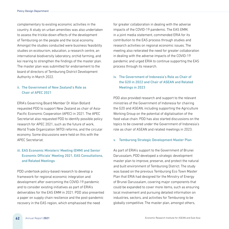complementary to existing economic activities in the country. A study on urban amenities was also undertaken to assess the trickle-down effects of the development of Temburong on the people and the local economy. Amongst the studies conducted were business feasibility studies on ecotourism, education, a research centre, an international biodiversity laboratory, orchid farming, and koi rearing to strengthen the findings of the master plan. The master plan was submitted for endorsement to the board of directors of Temburong District Development Authority in March 2022.

## ii. The Government of New Zealand's Role as Chair of APEC 2021

ERIA's Governing Board Member Dr Allan Bollard requested PDD to support New Zealand as chair of Asia-Pacific Economic Cooperation (APEC) in 2021. The APEC Secretariat also requested PDD to identify possible policy research for APEC 2021, such as the future of work, World Trade Organization (WTO) reforms, and the circular economy. Some discussions were held on this with the APEC Secretariat.

# iii. EAS Economic Ministers' Meeting (EMM) and Senior Economic Officials' Meeting 2021, EAS Consultations, and Related Meetings

PDD undertook policy-based research to develop a framework for regional economic integration and development after overcoming the COVID-19 pandemic and to consider existing initiatives as part of ERIA's deliverables for the EAS EMM in 2021. PDD also presented a paper on supply chain resilience and the post-pandemic recovery in the EAS region, which emphasised the need

for greater collaboration in dealing with the adverse impacts of the COVID-19 pandemic. The EAS EMM, in a joint media statement, commended ERIA for its contribution to the EAS process through studies and research activities on regional economic issues. The meeting also reiterated the need for greater collaboration in dealing with the adverse impacts of the COVID-19 pandemic and urged ERIA to continue supporting the EAS process through its research.

# iv. The Government of Indonesia's Role as Chair of the G20 in 2022 and Chair of ASEAN and Related Meetings in 2023

PDD also provided research and support to the relevant ministries of the Government of Indonesia for chairing the G20 and ASEAN, including supporting the Agriculture Working Group on the potential of digitalisation of the food value chain. PDD has also started discussions on the topics to be covered under the Government of Indonesia's role as chair of ASEAN and related meetings in 2023.

### v. Temburong Strategic Development Master Plan

As part of ERIA's support to the Government of Brunei Darussalam, PDD developed a strategic development master plan to improve, preserve, and protect the natural and built environment of Temburong District. The study was based on the previous Temburong Eco Town Master Plan that ERIA had designed for the Ministry of Energy of Brunei Darussalam, covering major components that could be expanded to cover more items, such as ensuring local involvement and pursuing detailed information on industries, sectors, and activities for Temburong to be globally competitive. The master plan, amongst others,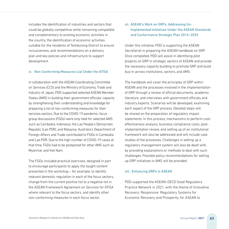includes the identification of industries and sectors that could be globally competitive while remaining compatible and complementary to existing economic activities in the country, the identification of economic activities suitable for the residents of Temburong District to ensure inclusiveness, and recommendations on a delivery plan and key policies and infrastructure to support development.

#### vi. Non-Conforming Measures List Under the ATISA

In collaboration with the ASEAN Coordinating Committee on Services (CCS) and the Ministry of Economy, Trade and Industry of Japan, PDD supported selected ASEAN Member States (AMS) in building their government officials' capacity by strengthening their understanding and knowledge for preparing a list of non-conforming measures for their services sectors. Due to the COVID-19 pandemic, focus group discussions (FGDs) were only held for selected AMS such as Cambodia, Indonesia, the Lao People's Democratic Republic (Lao PDR), and Malaysia. Australia's Department of Foreign Affairs and Trade contributed to FGDs in Cambodia and Lao PDR. Due to the high number of COVID-19 cases at that time, FGDs had to be postponed for other AMS such as Myanmar and Viet Nam.

The FGDs included practical exercises, designed in part to encourage participants to apply the taught content presented in the workshop – for example, to identify relevant domestic regulation in each of the focus sectors, change from the current positive list to a negative list in the ASEAN Framework Agreement on Services for ATISA where relevant to the focus sectors, and identify other non-conforming measures in each focus sector.

## vii. ASEAN's Work on GRPs: Addressing Un-Implemented Initiatives Under the ASEAN Standards and Conformance Strategic Plan 2016–2025

Under this initiative, PDD is supporting the ASEAN Secretariat in preparing the ASEAN handbook on GRP. Once completed, PDD will assist in identifying pilot projects on GRP in strategic sectors of ASEAN and provide the necessary capacity building to promote GRP and build buy-in across institutions, sectors, and AMS.

The handbook will cover the principles of GRP within ASEAN and the processes involved in the implementation of GRP through a review of official documents, academic literature, and interviews with government officials and industry experts. Scenarios will be developed, examining each aspect of the GRP process. Detailed steps will be shared on the preparation of regulatory impact statements. In this process, mechanisms to perform costeffectiveness analysis, business compliance costs, postimplementation review, and setting up of an institutional framework will also be addressed and will include case studies of the processes. Challenges in setting up a regulatory management system will also be dealt with, by providing explanations or methods to deal with such challenges. Possible policy recommendations for setting up GRP initiatives in AMS will be provided.

### viii. Enhancing GRPs in ASEAN

PDD supported the ASEAN–OECD Good Regulatory Practice Network in 2021, with the theme of Innovative Recovery: Responsive Regulatory Systems for Economic Recovery and Prosperity, for ASEAN to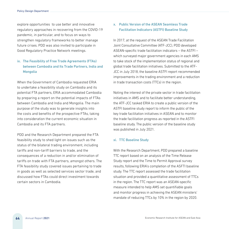explore opportunities to use better and innovative regulatory approaches in recovering from the COVID-19 pandemic, in particular, and to focus on ways to strengthen regulatory frameworks to better manage future crises. PDD was also invited to participate in Good Regulatory Practice Network meetings.

# ix. The Feasibility of Free Trade Agreements (FTAs) between Cambodia and Its Trade Partners, India and Mongolia

When the Government of Cambodia requested ERIA to undertake a feasibility study on Cambodia and its potential FTA partners, ERIA accommodated Cambodia by preparing a report on the potential impacts of FTAs between Cambodia and India and Mongolia. The main purpose of the study was to generate insights into the costs and benefits of the prospective FTAs, taking into consideration the current economic situation in Cambodia and its FTA partners.

PDD and the Research Department prepared the FTA feasibility study to shed light on issues such as the status of the bilateral trading environment, including tariffs and non-tariff barriers to trade, and the consequences of a reduction in and/or elimination of tariffs on trade with FTA partners, amongst others. The FTA feasibility study covered issues pertaining to trade in goods as well as selected services sector trade, and discussed how FTAs could direct investment towards certain sectors in Cambodia.

## x. Public Version of the ASEAN Seamless Trade Facilitation Indicators (ASTFI) Baseline Study

In 2017, at the request of the ASEAN Trade Facilitation Joint Consultative Committee (ATF-JCC), PDD developed ASEAN-specific trade facilitation indicators – the ASTFI – which surveyed major government agencies in each AMS to take stock of the implementation status of regional and global trade facilitation initiatives. Submitted to the ATF-JCC in July 2018, the baseline ASTFI report recommended improvements in the trading environment and a reduction in trade transaction costs (TTCs) in the region.

Noting the interest of the private sector in trade facilitation initiatives in AMS and to facilitate better understanding, the ATF-JCC tasked ERIA to create a public version of the ASTFI baseline study report to inform the public of the key trade facilitation initiatives in ASEAN and to monitor the trade facilitation progress as reported in the ASTFI baseline study. The public version of the baseline study was published in July 2021.

### xi. TTC Baseline Study

With the Research Department, PDD prepared a baseline TTC report based on an analysis of the Time Release Study report and the Time to Permit Approval survey results, following ERIA's completion of the ASFTI baseline study. The TTC report assessed the trade facilitation situation and provided a quantitative assessment of TTCs in the region. The TTC report was an ASEAN-specific measure intended to help AMS set quantifiable goals and monitor progress in achieving the ASEAN ministers' mandate of reducing TTCs by 10% in the region by 2020.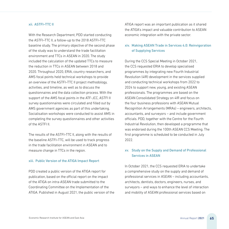#### xii. ASTFI–TTC II

With the Research Department, PDD started conducting the ASTFI–TTC II, a follow-up to the 2018 ASTFI–TTC baseline study. The primary objective of the second phase of the study was to understand the trade facilitation environment and TTCs in ASEAN in 2020. The study included the calculation of the updated TTCs to measure the reduction in TTCs in ASEAN between 2018 and 2020. Throughout 2020, ERIA, country researchers, and AMS focal points held technical workshops to provide an overview of the ASTFI–TTC II project methodology, activities, and timeline, as well as to discuss the questionnaires and the data collection process. With the support of the AMS focal points in the ATF-JCC, ASTFI II survey questionnaires were circulated and filled out by AMS government agencies as part of this undertaking. Socialisation workshops were conducted to assist AMS in completing the survey questionnaires and other activities of the ASTFI II.

The results of the ASTFI–TTC II, along with the results of the baseline ASTFI–TTC, will be used to track progress in the trade facilitation environment in ASEAN and to measure change in TTCs in the region.

#### xiii. Public Version of the ATIGA Impact Report

PDD created a public version of the ATIGA report for publication, based on the official report on the impact of the ATIGA on intra-ASEAN trade submitted to the Coordinating Committee on the Implementation of the ATIGA. Published in August 2021, the public version of the ATIGA report was an important publication as it shared the ATIGA's impact and valuable contribution to ASEAN economic integration with the private sector.

### xiv. Making ASEAN Trade in Services 4.0: Reinvigoration of Supplying Services

During the CCS Special Meeting in October 2021, the CCS requested ERIA to develop specialised programmes by integrating new Fourth Industrial Revolution (4IR) development in the services supplied and conducting technical workshops from 2022 to 2024 to support new, young, and existing ASEAN professionals. The programmes are based on the ASEAN Consolidated Strategy on 4IR and focus on the four business professions with ASEAN Mutual Recognition Arrangements (MRAs) – engineers, architects, accountants, and surveyors – and include government officials. PDD, together with the Centre for the Fourth Industrial Revolution, then developed a programme that was endorsed during the 100th ASEAN CCS Meeting. The first programme is scheduled to be conducted in July 2022.

## xv. Study on the Supply and Demand of Professional Services in ASEAN

In October 2021, the CCS requested ERIA to undertake a comprehensive study on the supply and demand of professional services in ASEAN – including accountants, architects, dentists, doctors, engineers, nurses, and surveyors – and ways to enhance the level of interaction and mobility of ASEAN professional services based on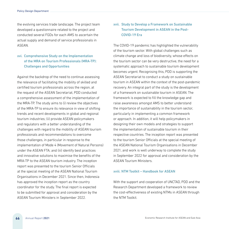the evolving services trade landscape. The project team developed a questionnaire related to the project and conducted several FGDs for each AMS to ascertain the actual supply and demand of service professionals in ASEAN.

# xvi. Comprehensive Study on the Implementation of the MRA on Tourism Professionals (MRA-TP): Challenges and Opportunities

Against the backdrop of the need to continue assessing the relevance of facilitating the mobility of skilled and certified tourism professionals across the region, at the request of the ASEAN Secretariat, PDD conducted a comprehensive assessment of the implementation of the MRA-TP. The study aims to (i) review the objectives of the MRA-TP to ensure its relevance in view of shifting trends and recent developments in global and regional tourism industries; (ii) provide ASEAN policymakers and regulators with a better understanding of the challenges with regard to the mobility of ASEAN tourism professionals and recommendations to overcome those challenges, in particular in response to the implementation of Mode 4 (Movement of Natural Persons) under the ASEAN FTA; and (iii) identify best practices and innovative solutions to maximise the benefits of the MRA-TP to the ASEAN tourism industry. The inception report was presented to the tourism Senior Officials at the special meeting of the ASEAN National Tourism Organisations in December 2021. Since then, Indonesia has approved the inception report as the country coordinator for the study. The final report is expected to be submitted for approval and consideration by the ASEAN Tourism Ministers in September 2022.

# xvii. Study to Develop a Framework on Sustainable Tourism Development in ASEAN in the Post-COVID-19 Era

The COVID-19 pandemic has highlighted the vulnerability of the tourism sector. With global challenges such as climate change and loss of biodiversity, whose effects on the tourism sector can be very destructive, the need for a systematic approach to sustainable tourism development becomes urgent. Recognising this, PDD is supporting the ASEAN Secretariat to conduct a study on sustainable tourism in ASEAN within the context of the post-pandemic recovery. An integral part of the study is the development of a framework on sustainable tourism in ASEAN. The framework is expected to fill the knowledge gap and raise awareness amongst AMS to better understand the importance of sustainability in the tourism sector, particularly in implementing a common framework or approach. In addition, it will help policymakers in designing their own models and strategies to support the implementation of sustainable tourism in their respective countries. The inception report was presented to the tourism Senior Officials at the special meeting of the ASEAN National Tourism Organisations in December 2021, and work is well underway to complete the study in September 2022 for approval and consideration by the ASEAN Tourism Ministers.

#### xviii. NTM Toolkit – Handbook for ASEAN

With the support and cooperation of UNCTAD, PDD and the Research Department developed a framework to review the cost-effectiveness of existing NTMs in ASEAN through the NTM Toolkit.